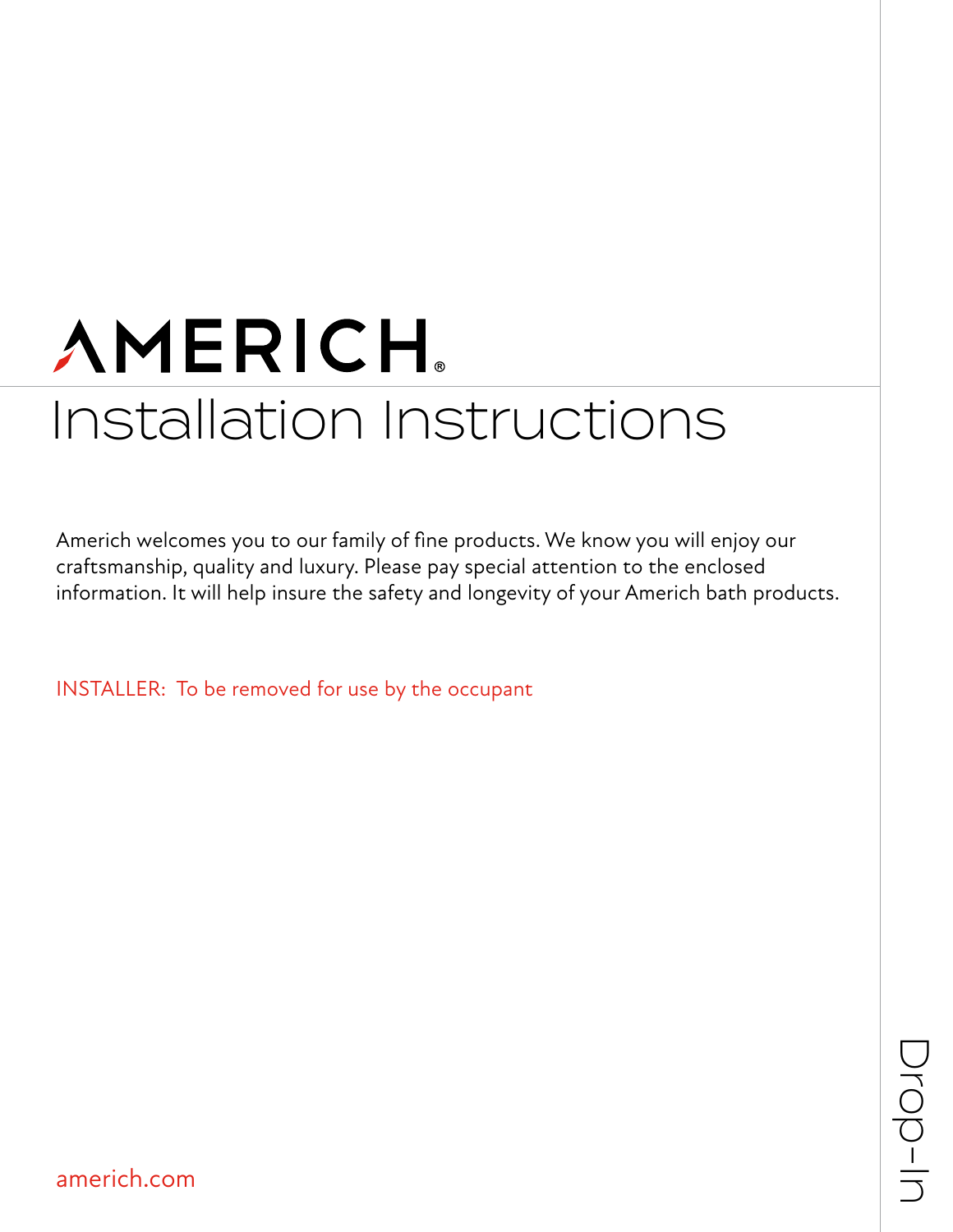# **AMERICH** Installation Instructions

Americh welcomes you to our family of fine products. We know you will enjoy our craftsmanship, quality and luxury. Please pay special attention to the enclosed information. It will help insure the safety and longevity of your Americh bath products.

INSTALLER: To be removed for use by the occupant

americh.com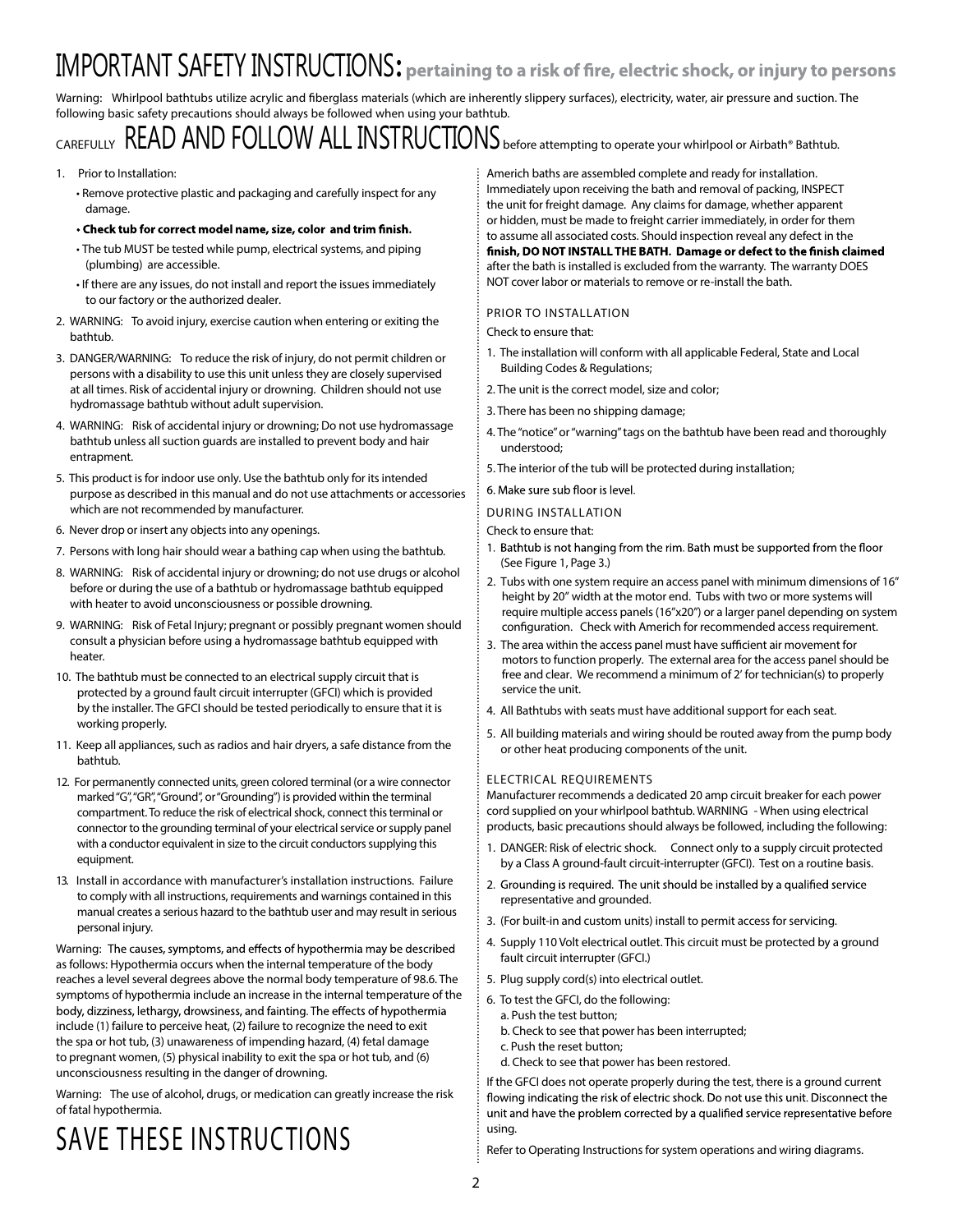# IMPORTANT SAFETY INSTRUCTIONS**:**

Warning: Whirlpool bathtubs utilize acrylic and fiberglass materials (which are inherently slippery surfaces), electricity, water, air pressure and suction. The following basic safety precautions should always be followed when using your bathtub.

# **CAREFULLY** READ AND FOLLOW ALL INSTRUCTIONS **before attempting to operate your whirlpool or Airbath® Bathtub.**

### 1. **Prior to Installation:**

- **Remove protective plastic and packaging and carefully inspect for any damage.**
- . Check tub for correct model name, size, color and trim finish.
- **The tub MUST be tested while pump, electrical systems, and piping (plumbing) are accessible.**
- **If there are any issues, do not install and report the issuesimmediately to our factory or the authorized dealer.**
- 2. **WARNING:** To avoid injury, exercise caution when entering or exiting the bathtub.
- 3. **DANGER/WARNING:** To reduce the risk of injury, do not permit children or persons with a disability to use this unit unless they are closely supervised at all times. Risk of accidental injury or drowning. Children should not use hydromassage bathtub without adult supervision.
- 4. **WARNING:** Risk of accidental injury or drowning; Do not use hydromassage bathtub unless all suction guards are installed to prevent body and hair entrapment.
- 5. This product is for indoor use only. Use the bathtub only for its intended purpose as described in this manual and do not use attachments or accessories which are not recommended by manufacturer.
- 6. Never drop or insert any objects into any openings.
- 7. Persons with long hair should wear a bathing cap when using the bathtub.
- 8. **WARNING:** Risk of accidental injury or drowning; do not use drugs or alcohol before or during the use of a bathtub or hydromassage bathtub equipped with heater to avoid unconsciousness or possible drowning.
- 9. **WARNING:** Risk of Fetal Injury; pregnant or possibly pregnant women should consult a physician before using a hydromassage bathtub equipped with heater.
- 10. The bathtub must be connected to an electrical supply circuit that is protected by a ground fault circuit interrupter (GFCI) which is provided by the installer. The GFCI should be tested periodically to ensure that it is working properly.
- 11. Keep all appliances, such as radios and hair dryers, a safe distance from the bathtub.
- 12. For permanently connected units, green colored terminal (or a wire connector marked"G","GR","Ground", or"Grounding") is provided within the terminal compartment. To reduce the risk of electrical shock, connect this terminal or connector to the grounding terminal of your electrical service or supply panel with a conductor equivalent in size to the circuit conductors supplying this equipment.
- 13. Install in accordance with manufacturer's installation instructions. Failure to comply with all instructions, requirements and warnings contained in this manual creates a serious hazard to the bathtub user and may result in serious personal injury.

Warning: The causes, symptoms, and effects of hypothermia may be described asfollows: Hypothermia occurs when the internal temperature of the body reaches a level several degrees above the normal body temperature of 98.6. The symptoms of hypothermia include an increase in the internal temperature of the body, dizziness, lethargy, drowsiness, and fainting. The effects of hypothermia include (1) failure to perceive heat, (2) failure to recognize the need to exit the spa or hot tub, (3) unawareness of impending hazard, (4) fetal damage to pregnant women, (5) physical inability to exit the spa or hot tub, and (6) unconsciousness resulting in the danger of drowning.

**Warning:** The use of alcohol, drugs, or medication can greatly increase the risk of fatal hypothermia.

# **SAVE THESE INSTRUCTIONS**

**Americh baths are assembled complete and ready for installation. Immediately upon receiving the bath and removal of packing, INSPECT the unit for freight damage. Any claimsfor damage, whether apparent or hidden, must be made to freight carrier immediately, in order for them to assume all associated costs. Should inspection reveal any defect in the**  finish, DO NOT INSTALL THE BATH. Damage or defect to the finish claimed **after the bath isinstalled is excluded from the warranty. The warranty DOES NOT cover labor or materialsto remove or re-install the bath.**

# **PRIOR TO INSTALLATION**

Check to ensure that:

- 1. The installation will conform with all applicable Federal, State and Local Building Codes & Regulations;
- 2. The unit is the correct model, size and color;
- 3. There has been no shipping damage;
- 4. The"notice"or"warning"tags on the bathtub have been read and thoroughly understood;
- 5. The interior of the tub will be protected during installation;
- 6. Make sure sub floor is level.
- **DURING INSTALLATION**

Check to ensure that:

- 1. Bathtub is not hanging from the rim. Bath must be supported from the floor (See Figure 1, Page 3.)
- 2. Tubs with one system require an access panel with minimum dimensions of 16" height by 20" width at the motor end. Tubs with two or more systems will require multiple access panels (16"x20") or a larger panel depending on system configuration. Check with Americh for recommended access requirement.
- 3. The area within the access panel must have sufficient air movement for motors to function properly. The external area for the access panel should be free and clear. We recommend a minimum of 2' for technician(s) to properly service the unit.
- 4. All Bathtubs with seats must have additional support for each seat.
- 5. All building materials and wiring should be routed away from the pump body or other heat producing components of the unit.

### **ELECTRICAL REQUIREMENTS**

Manufacturer recommends a dedicated 20 amp circuit breaker for each power cord supplied on your whirlpool bathtub. **WARNING** - When using electrical products, basic precautions should always be followed, including the following:

- 1. **DANGER: Risk of electric shock.** Connect only to a supply circuit protected by a Class A ground-fault circuit-interrupter (GFCI). Test on a routine basis.
- 2. Grounding is required. The unit should be installed by a qualified service representative and grounded.
- 3. (For built-in and custom units) install to permit access for servicing.
- 4. Supply 110 Volt electrical outlet. This circuit must be protected by a ground fault circuit interrupter (GFCI.)
- 5. Plug supply cord(s) into electrical outlet.
- 6. To test the GFCI, do the following: a. Push the test button;
	- b. Check to see that power has been interrupted;
	- c. Push the reset button;
	- d. Check to see that power has been restored.

If the GFCI does not operate properly during the test, there is a ground current flowing indicating the risk of electric shock. Do not use this unit. Disconnect the unit and have the problem corrected by a qualified service representative before using.

Refer to Operating Instructions for system operations and wiring diagrams.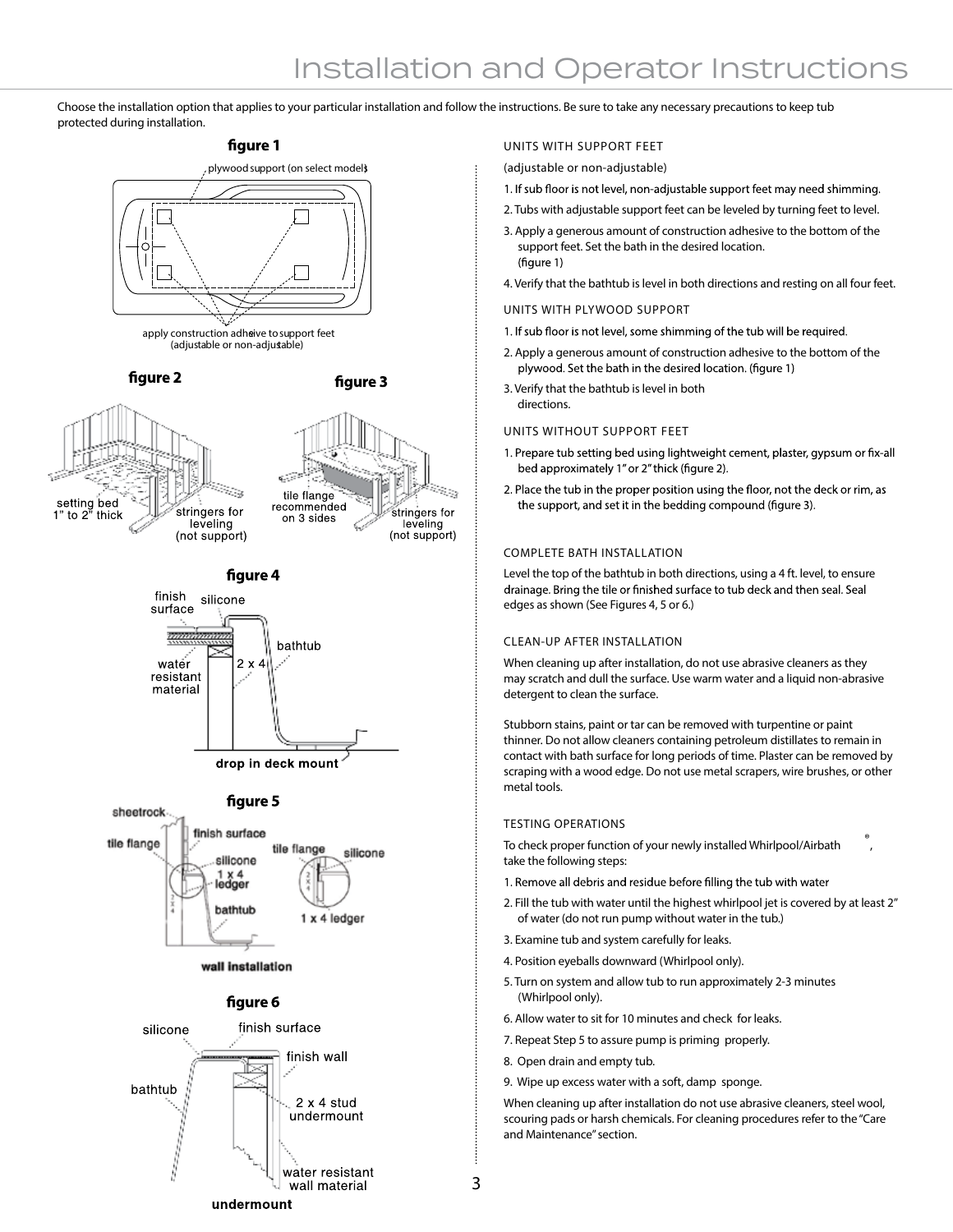# Installation and Operator Instructions

**Choose the installation option that appliesto your particular installation and follow the instructions. Be sure to take any necessary precautionsto keep tub protected during installation.**

## figure 1









wall installation

#### figure 6



#### **UNITS WITH SUPPORT FEET**

(adjustable or non-adjustable)

- 1. If sub floor is not level, non-adjustable support feet may need shimming.
- 2. Tubs with adjustable support feet can be leveled by turning feet to level.
- 3. Apply a generous amount of construction adhesive to the bottom of the support feet. Set the bath in the desired location. (figure 1)
- 4. Verify that the bathtub is level in both directions and resting on all four feet.

#### **UNITS WITH PLYWOOD SUPPORT**

- 1. If sub floor is not level, some shimming of the tub will be required.
- 2. Apply a generous amount of construction adhesive to the bottom of the plywood. Set the bath in the desired location. (figure 1)

3. Verify that the bathtub is level in both directions.

#### **UNITS WITHOUT SUPPORT FEET**

- 1. Prepare tub setting bed using lightweight cement, plaster, gypsum or fix-all bed approximately 1" or 2" thick (figure 2).
- 2. Place the tub in the proper position using the floor, not the deck or rim, as the support, and set it in the bedding compound (figure 3).

#### **COMPLETE BATH INSTALLATION**

Level the top of the bathtub in both directions, using a 4 ft. level, to ensure drainage. Bring the tile or finished surface to tub deck and then seal. Seal edges as shown (See Figures 4, 5 or 6.)

### **CLEAN-UP AFTER INSTALLATION**

When cleaning up after installation, do not use abrasive cleaners as they may scratch and dull the surface. Use warm water and a liquid non-abrasive detergent to clean the surface.

Stubborn stains, paint or tar can be removed with turpentine or paint thinner. Do not allow cleaners containing petroleum distillates to remain in contact with bath surface for long periods of time. Plaster can be removed by scraping with a wood edge. Do not use metal scrapers, wire brushes, or other metal tools.

#### **TESTING OPERATIONS**

**To check proper function of your newly installed Whirlpool/Airbath ® take the following steps:**

- 1. Remove all debris and residue before filling the tub with water
- 2. Fill the tub with water until the highest whirlpool jet is covered by at least 2" of water (do not run pump without water in the tub.)

**,** 

- 3. Examine tub and system carefully for leaks.
- 4. Position eyeballs downward (Whirlpool only).
- 5. Turn on system and allow tub to run approximately 2-3 minutes (Whirlpool only).
- 6. Allow water to sit for 10 minutes and check for leaks.
- 7. Repeat Step 5 to assure pump is priming properly.
- 8. Open drain and empty tub.

**3**

9. Wipe up excess water with a soft, damp sponge.

When cleaning up after installation do not use abrasive cleaners, steel wool, scouring pads or harsh chemicals. For cleaning procedures refer to the"Care and Maintenance"section.